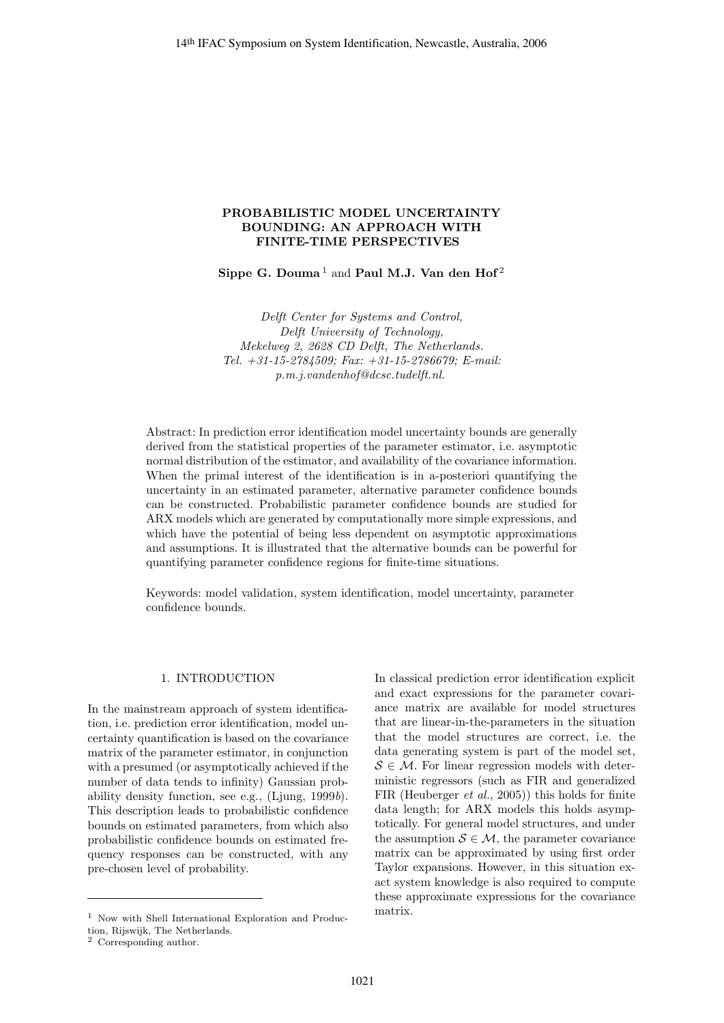# **PROBABILISTIC MODEL UNCERTAINTY BOUNDING: AN APPROACH WITH FINITE-TIME PERSPECTIVES**

Sippe G. Douma<sup>1</sup> and Paul M.J. Van den Hof<sup>2</sup>

Delft Center for Systems and Control, Delft University of Technology, Mekelweg 2, 2628 CD Delft, The Netherlands. Tel. +31-15-2784509; Fax: +31-15-2786679; E-mail: p.m.j.vandenhof@dcsc.tudelft.nl.

Abstract: In prediction error identification model uncertainty bounds are generally derived from the statistical properties of the parameter estimator, i.e. asymptotic normal distribution of the estimator, and availability of the covariance information. When the primal interest of the identification is in a-posteriori quantifying the uncertainty in an estimated parameter, alternative parameter confidence bounds can be constructed. Probabilistic parameter confidence bounds are studied for ARX models which are generated by computationally more simple expressions, and which have the potential of being less dependent on asymptotic approximations and assumptions. It is illustrated that the alternative bounds can be powerful for quantifying parameter confidence regions for finite-time situations.

Keywords: model validation, system identification, model uncertainty, parameter confidence bounds.

## 1. INTRODUCTION

In the mainstream approach of system identification, i.e. prediction error identification, model uncertainty quantification is based on the covariance matrix of the parameter estimator, in conjunction with a presumed (or asymptotically achieved if the number of data tends to infinity) Gaussian probability density function, see e.g., (Ljung, 1999b). This description leads to probabilistic confidence bounds on estimated parameters, from which also probabilistic confidence bounds on estimated frequency responses can be constructed, with any pre-chosen level of probability.

In classical prediction error identification explicit and exact expressions for the parameter covariance matrix are available for model structures that are linear-in-the-parameters in the situation that the model structures are correct, i.e. the data generating system is part of the model set,  $S \in \mathcal{M}$ . For linear regression models with deterministic regressors (such as FIR and generalized FIR (Heuberger et al., 2005)) this holds for finite data length; for ARX models this holds asymptotically. For general model structures, and under the assumption  $S \in \mathcal{M}$ , the parameter covariance matrix can be approximated by using first order Taylor expansions. However, in this situation exact system knowledge is also required to compute these approximate expressions for the covariance matrix.

<sup>1</sup> Now with Shell International Exploration and Produc-

tion, Rijswijk, The Netherlands.

<sup>2</sup> Corresponding author.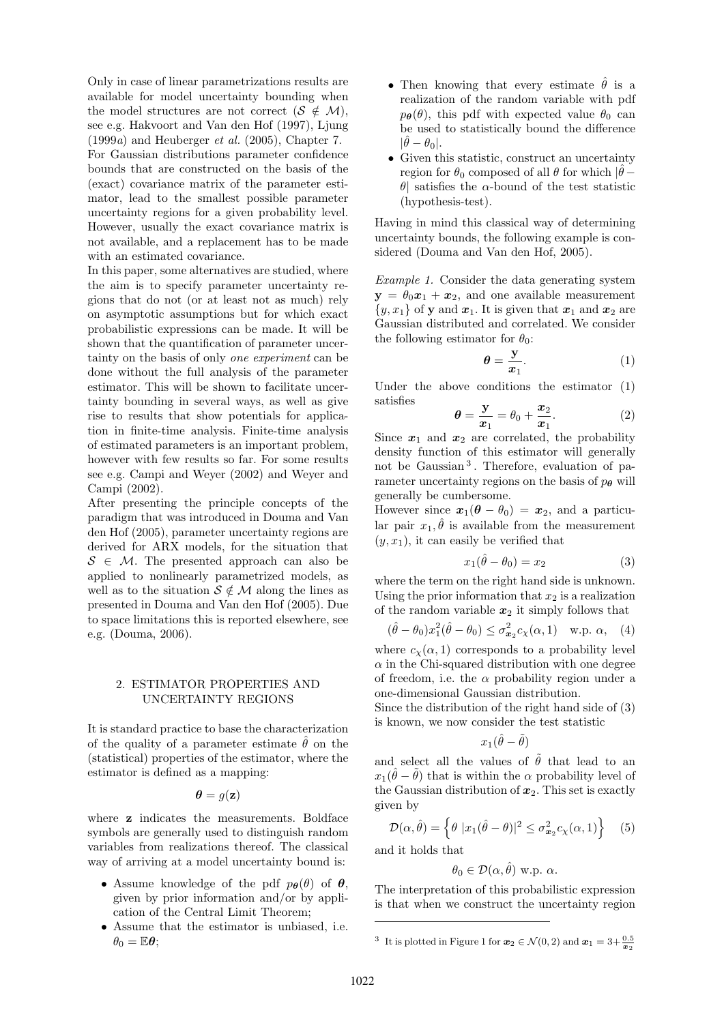Only in case of linear parametrizations results are available for model uncertainty bounding when the model structures are not correct ( $S \notin \mathcal{M}$ ), see e.g. Hakvoort and Van den Hof (1997), Ljung  $(1999a)$  and Heuberger *et al.*  $(2005)$ , Chapter 7. For Gaussian distributions parameter confidence bounds that are constructed on the basis of the (exact) covariance matrix of the parameter estimator, lead to the smallest possible parameter uncertainty regions for a given probability level. However, usually the exact covariance matrix is not available, and a replacement has to be made with an estimated covariance.

In this paper, some alternatives are studied, where the aim is to specify parameter uncertainty regions that do not (or at least not as much) rely on asymptotic assumptions but for which exact probabilistic expressions can be made. It will be shown that the quantification of parameter uncertainty on the basis of only one experiment can be done without the full analysis of the parameter estimator. This will be shown to facilitate uncertainty bounding in several ways, as well as give rise to results that show potentials for application in finite-time analysis. Finite-time analysis of estimated parameters is an important problem, however with few results so far. For some results see e.g. Campi and Weyer (2002) and Weyer and Campi (2002).

After presenting the principle concepts of the paradigm that was introduced in Douma and Van den Hof (2005), parameter uncertainty regions are derived for ARX models, for the situation that  $S \in \mathcal{M}$ . The presented approach can also be applied to nonlinearly parametrized models, as well as to the situation  $S \notin \mathcal{M}$  along the lines as presented in Douma and Van den Hof (2005). Due to space limitations this is reported elsewhere, see e.g. (Douma, 2006).

## 2. ESTIMATOR PROPERTIES AND UNCERTAINTY REGIONS

It is standard practice to base the characterization of the quality of a parameter estimate  $\hat{\theta}$  on the (statistical) properties of the estimator, where the estimator is defined as a mapping:

$$
\boldsymbol{\theta} = g(\mathbf{z})
$$

where **z** indicates the measurements. Boldface symbols are generally used to distinguish random variables from realizations thereof. The classical way of arriving at a model uncertainty bound is:

- Assume knowledge of the pdf  $p_{\theta}(\theta)$  of  $\theta$ , given by prior information and/or by application of the Central Limit Theorem;
- Assume that the estimator is unbiased, i.e.  $\theta_0 = \mathbb{E} \boldsymbol{\theta}$ ;
- Then knowing that every estimate  $\hat{\theta}$  is a realization of the random variable with pdf  $p_{\theta}(\theta)$ , this pdf with expected value  $\theta_0$  can be used to statistically bound the difference  $|\hat{\theta} - \theta_0|.$
- Given this statistic, construct an uncertainty region for  $\theta_0$  composed of all  $\theta$  for which  $|\hat{\theta} - \theta_0|$ θ| satisfies the α-bound of the test statistic (hypothesis-test).

Having in mind this classical way of determining uncertainty bounds, the following example is considered (Douma and Van den Hof, 2005).

Example 1. Consider the data generating system  $y = \theta_0 x_1 + x_2$ , and one available measurement  $\{y, x_1\}$  of **y** and  $x_1$ . It is given that  $x_1$  and  $x_2$  are Gaussian distributed and correlated. We consider the following estimator for  $\theta_0$ :

$$
\theta = \frac{y}{x_1}.\tag{1}
$$

Under the above conditions the estimator (1) satisfies

$$
\theta = \frac{\mathbf{y}}{x_1} = \theta_0 + \frac{x_2}{x_1}.\tag{2}
$$

Since  $x_1$  and  $x_2$  are correlated, the probability density function of this estimator will generally not be Gaussian<sup>3</sup>. Therefore, evaluation of parameter uncertainty regions on the basis of  $p_{\theta}$  will generally be cumbersome.

However since  $x_1(\theta - \theta_0) = x_2$ , and a particular pair  $x_1, \hat{\theta}$  is available from the measurement  $(y, x<sub>1</sub>)$ , it can easily be verified that

$$
x_1(\hat{\theta} - \theta_0) = x_2 \tag{3}
$$

where the term on the right hand side is unknown. Using the prior information that  $x_2$  is a realization of the random variable  $x_2$  it simply follows that

$$
(\hat{\theta} - \theta_0)x_1^2(\hat{\theta} - \theta_0) \le \sigma_{\mathbf{x}_2}^2 c_\chi(\alpha, 1) \quad \text{w.p. } \alpha, \quad (4)
$$

where  $c_{\chi}(\alpha, 1)$  corresponds to a probability level  $\alpha$  in the Chi-squared distribution with one degree of freedom, i.e. the  $\alpha$  probability region under a one-dimensional Gaussian distribution.

Since the distribution of the right hand side of (3) is known, we now consider the test statistic

$$
x_1(\hat{\theta}-\tilde{\theta})
$$

and select all the values of  $\tilde{\theta}$  that lead to an  $x_1(\hat{\theta} - \tilde{\theta})$  that is within the  $\alpha$  probability level of the Gaussian distribution of  $x_2$ . This set is exactly given by

$$
\mathcal{D}(\alpha, \hat{\theta}) = \left\{ \theta \, |x_1(\hat{\theta} - \theta)|^2 \le \sigma_{\mathbf{x}_2}^2 c_\chi(\alpha, 1) \right\} \quad (5)
$$

and it holds that

 $\theta_0 \in \mathcal{D}(\alpha, \hat{\theta})$  w.p.  $\alpha$ .

The interpretation of this probabilistic expression is that when we construct the uncertainty region

<sup>&</sup>lt;sup>3</sup> It is plotted in Figure 1 for  $x_2 \in \mathcal{N}(0, 2)$  and  $x_1 = 3 + \frac{0.5}{x_2}$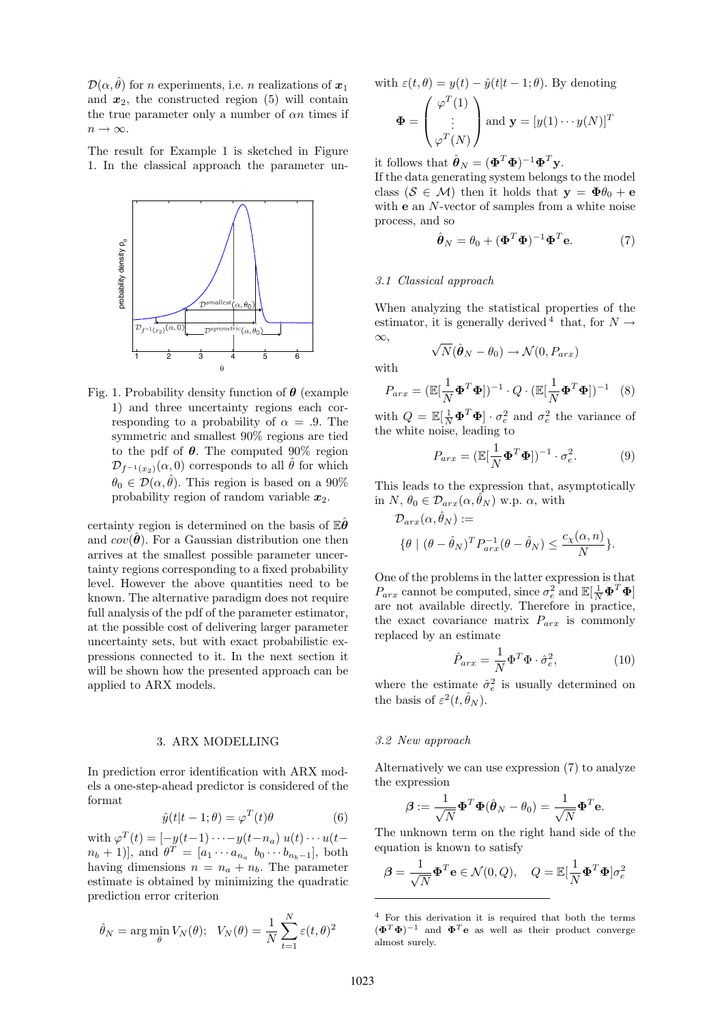$\mathcal{D}(\alpha, \hat{\theta})$  for *n* experiments, i.e. *n* realizations of  $x_1$ and  $x_2$ , the constructed region (5) will contain the true parameter only a number of  $\alpha n$  times if  $n \to \infty$ .

The result for Example 1 is sketched in Figure 1. In the classical approach the parameter un-



Fig. 1. Probability density function of *θ* (example 1) and three uncertainty regions each corresponding to a probability of  $\alpha = .9$ . The symmetric and smallest 90% regions are tied to the pdf of *θ*. The computed 90% region  $\mathcal{D}_{f^{-1}(x_2)}(\alpha,0)$  corresponds to all  $\hat{\theta}$  for which  $\theta_0 \in \mathcal{D}(\alpha, \hat{\theta})$ . This region is based on a 90% probability region of random variable *x*2.

certainty region is determined on the basis of E*θ*ˆ and  $cov(\hat{\theta})$ . For a Gaussian distribution one then arrives at the smallest possible parameter uncertainty regions corresponding to a fixed probability level. However the above quantities need to be known. The alternative paradigm does not require full analysis of the pdf of the parameter estimator, at the possible cost of delivering larger parameter uncertainty sets, but with exact probabilistic expressions connected to it. In the next section it will be shown how the presented approach can be applied to ARX models.

# 3. ARX MODELLING

In prediction error identification with ARX models a one-step-ahead predictor is considered of the format

$$
\hat{y}(t|t-1;\theta) = \varphi^{T}(t)\theta
$$
\n(6)

with  $\varphi^T(t)=[-y(t-1)\cdots-y(t-n_a) u(t)\cdots u(t [n_b + 1]$ , and  $\theta^T = [a_1 \cdots a_{n_a} \ b_0 \cdots b_{n_b-1}],$  both having dimensions  $n = n_a + n_b$ . The parameter estimate is obtained by minimizing the quadratic prediction error criterion

$$
\hat{\theta}_N = \arg\min_{\theta} V_N(\theta); \quad V_N(\theta) = \frac{1}{N} \sum_{t=1}^N \varepsilon(t, \theta)^2
$$

with  $\varepsilon(t, \theta) = y(t) - \hat{y}(t|t-1; \theta)$ . By denoting

$$
\mathbf{\Phi} = \begin{pmatrix} \varphi^T(1) \\ \vdots \\ \varphi^T(N) \end{pmatrix} \text{ and } \mathbf{y} = [y(1) \cdots y(N)]^T
$$

it follows that  $\hat{\boldsymbol{\theta}}_N = (\boldsymbol{\Phi}^T \boldsymbol{\Phi})^{-1} \boldsymbol{\Phi}^T \mathbf{y}$ .

If the data generating system belongs to the model class ( $S \in \mathcal{M}$ ) then it holds that  $y = \Phi \theta_0 + e$ with **e** an N-vector of samples from a white noise process, and so

$$
\hat{\boldsymbol{\theta}}_N = \theta_0 + (\boldsymbol{\Phi}^T \boldsymbol{\Phi})^{-1} \boldsymbol{\Phi}^T \mathbf{e}.
$$
 (7)

#### 3.1 Classical approach

When analyzing the statistical properties of the estimator, it is generally derived <sup>4</sup> that, for  $N \rightarrow$  $\infty$ .

$$
\sqrt{N}(\hat{\boldsymbol{\theta}}_N - \theta_0) \rightarrow \mathcal{N}(0, P_{arx})
$$

with

$$
P_{arx} = (\mathbb{E}[\frac{1}{N}\mathbf{\Phi}^T\mathbf{\Phi}])^{-1} \cdot Q \cdot (\mathbb{E}[\frac{1}{N}\mathbf{\Phi}^T\mathbf{\Phi}])^{-1} \quad (8)
$$

with  $Q = \mathbb{E}[\frac{1}{N}\mathbf{\Phi}^T\mathbf{\Phi}] \cdot \sigma_e^2$  and  $\sigma_e^2$  the variance of the white noise, leading to

$$
P_{arx} = (\mathbb{E}[\frac{1}{N}\mathbf{\Phi}^T\mathbf{\Phi}])^{-1} \cdot \sigma_e^2.
$$
 (9)

This leads to the expression that, asymptotically in N,  $\theta_0 \in \mathcal{D}_{arr}(\alpha, \hat{\theta}_N)$  w.p.  $\alpha$ , with

$$
\mathcal{D}_{arx}(\alpha, \hat{\theta}_N) :=
$$
  

$$
\{\theta \mid (\theta - \hat{\theta}_N)^T P_{arx}^{-1} (\theta - \hat{\theta}_N) \le \frac{c_\chi(\alpha, n)}{N} \}.
$$

One of the problems in the latter expression is that  $P_{arx}$  cannot be computed, since  $\sigma_e^2$  and  $\mathbb{E}[\frac{1}{N}\mathbf{\Phi}^T\mathbf{\Phi}]$ are not available directly. Therefore in practice, the exact covariance matrix  $P_{arx}$  is commonly replaced by an estimate

$$
\hat{P}_{arx} = \frac{1}{N} \Phi^T \Phi \cdot \hat{\sigma}_e^2, \tag{10}
$$

where the estimate  $\hat{\sigma}_e^2$  is usually determined on the basis of  $\varepsilon^2(t, \hat{\theta}_N)$ .

## 3.2 New approach

Alternatively we can use expression (7) to analyze the expression

$$
\boldsymbol{\beta} := \frac{1}{\sqrt{N}} \boldsymbol{\Phi}^T \boldsymbol{\Phi} (\hat{\boldsymbol{\theta}}_N - \theta_0) = \frac{1}{\sqrt{N}} \boldsymbol{\Phi}^T \mathbf{e}.
$$

The unknown term on the right hand side of the equation is known to satisfy

$$
\boldsymbol{\beta} = \frac{1}{\sqrt{N}} \boldsymbol{\Phi}^T \mathbf{e} \in \mathcal{N}(0, Q), \quad Q = \mathbb{E}[\frac{1}{N} \boldsymbol{\Phi}^T \boldsymbol{\Phi}] \sigma_e^2
$$

<sup>4</sup> For this derivation it is required that both the terms  $(\mathbf{\Phi}^T \mathbf{\Phi})^{-1}$  and  $\mathbf{\Phi}^T \mathbf{e}$  as well as their product converge almost surely.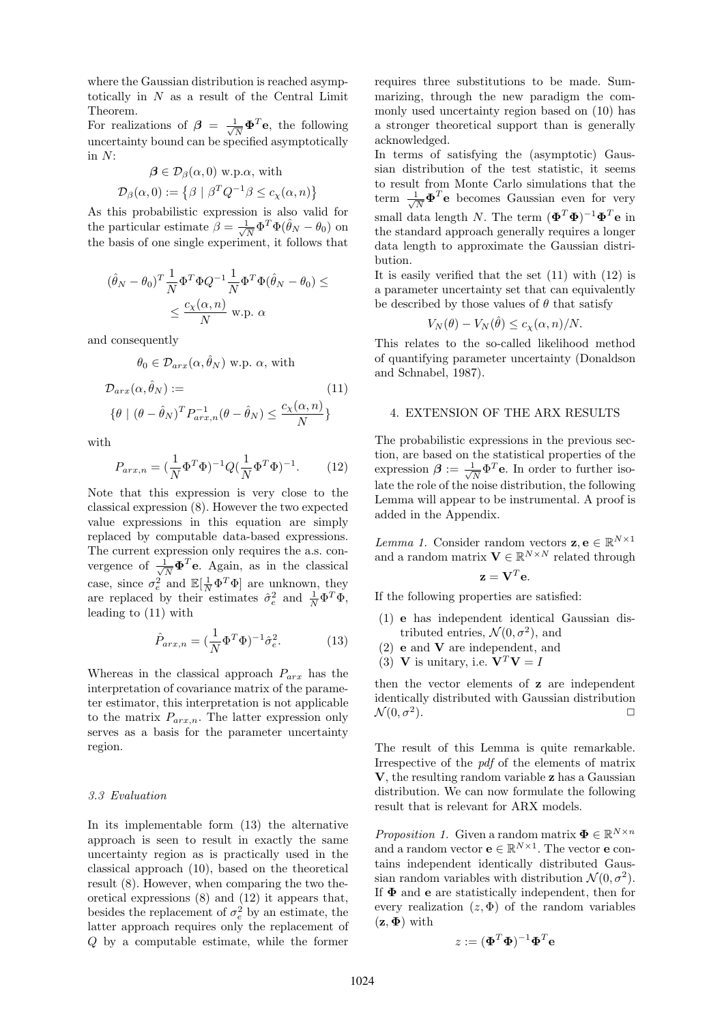where the Gaussian distribution is reached asymptotically in N as a result of the Central Limit Theorem.

For realizations of  $\beta = \frac{1}{\sqrt{N}} \mathbf{\Phi}^T \mathbf{e}$ , the following uncertainty bound can be specified asymptotically in  $N$ :

$$
\beta \in \mathcal{D}_{\beta}(\alpha, 0) \text{ w.p. }\alpha \text{, with}
$$

$$
\mathcal{D}_{\beta}(\alpha, 0) := \{ \beta \mid \beta^T Q^{-1} \beta \le c_{\chi}(\alpha, n) \}
$$

As this probabilistic expression is also valid for the particular estimate  $\hat{\beta} = \frac{1}{\sqrt{N}} \Phi^T \Phi (\hat{\theta}_N - \theta_0)$  on the basis of one single experiment, it follows that

$$
(\hat{\theta}_N - \theta_0)^T \frac{1}{N} \Phi^T \Phi Q^{-1} \frac{1}{N} \Phi^T \Phi (\hat{\theta}_N - \theta_0) \le
$$
  

$$
\le \frac{c_\chi(\alpha, n)}{N} \text{ w.p. } \alpha
$$

and consequently

$$
\theta_0 \in \mathcal{D}_{arx}(\alpha, \hat{\theta}_N) \text{ w.p. } \alpha, \text{ with}
$$

$$
\mathcal{D}_{arx}(\alpha, \hat{\theta}_N) :=
$$

$$
\{\theta \mid (\theta - \hat{\theta}_N)^T P_{arx,n}^{-1} (\theta - \hat{\theta}_N) \le \frac{c_\chi(\alpha, n)}{N} \}
$$
(11)

with

$$
P_{arx,n} = (\frac{1}{N} \Phi^T \Phi)^{-1} Q (\frac{1}{N} \Phi^T \Phi)^{-1}.
$$
 (12)

Note that this expression is very close to the classical expression (8). However the two expected value expressions in this equation are simply replaced by computable data-based expressions. The current expression only requires the a.s. convergence of  $\frac{1}{\sqrt{N}}\mathbf{\Phi}^T\mathbf{e}$ . Again, as in the classical case, since  $\sigma_e^2$  and  $\mathbb{E}[\frac{1}{N}\Phi^T\Phi]$  are unknown, they are replaced by their estimates  $\hat{\sigma}_e^2$  and  $\frac{1}{N} \Phi^T \Phi$ , leading to (11) with

$$
\hat{P}_{arx,n} = \left(\frac{1}{N}\Phi^T\Phi\right)^{-1}\hat{\sigma}_e^2.
$$
 (13)

Whereas in the classical approach  $P_{\text{arr}}$  has the interpretation of covariance matrix of the parameter estimator, this interpretation is not applicable to the matrix  $P_{arx,n}$ . The latter expression only serves as a basis for the parameter uncertainty region.

#### 3.3 Evaluation

In its implementable form (13) the alternative approach is seen to result in exactly the same uncertainty region as is practically used in the classical approach (10), based on the theoretical result (8). However, when comparing the two theoretical expressions (8) and (12) it appears that, besides the replacement of  $\sigma_e^2$  by an estimate, the latter approach requires only the replacement of Q by a computable estimate, while the former requires three substitutions to be made. Summarizing, through the new paradigm the commonly used uncertainty region based on (10) has a stronger theoretical support than is generally acknowledged.

In terms of satisfying the (asymptotic) Gaussian distribution of the test statistic, it seems to result from Monte Carlo simulations that the term  $\frac{1}{\sqrt{N}} \mathbf{\Phi}^T \mathbf{e}$  becomes Gaussian even for very small data length N. The term  $(\mathbf{\Phi}^T \mathbf{\Phi})^{-1} \mathbf{\Phi}^T \mathbf{e}$  in the standard approach generally requires a longer data length to approximate the Gaussian distribution.

It is easily verified that the set (11) with (12) is a parameter uncertainty set that can equivalently be described by those values of  $\theta$  that satisfy

$$
V_N(\theta) - V_N(\hat{\theta}) \le c_\chi(\alpha, n)/N.
$$

This relates to the so-called likelihood method of quantifying parameter uncertainty (Donaldson and Schnabel, 1987).

# 4. EXTENSION OF THE ARX RESULTS

The probabilistic expressions in the previous section, are based on the statistical properties of the expression  $\beta := \frac{1}{\sqrt{N}} \Phi^T \mathbf{e}$ . In order to further isolate the role of the noise distribution, the following Lemma will appear to be instrumental. A proof is added in the Appendix.

*Lemma 1.* Consider random vectors  $\mathbf{z}, \mathbf{e} \in \mathbb{R}^{N \times 1}$ and a random matrix  $\mathbf{V} \in \mathbb{R}^{N \times N}$  related through

$$
\mathbf{z} = \mathbf{V}^T \mathbf{e}.
$$

If the following properties are satisfied:

- (1) **e** has independent identical Gaussian distributed entries,  $\mathcal{N}(0, \sigma^2)$ , and
- (2) **e** and **V** are independent, and
- (3) **V** is unitary, i.e.  $V^T V = I$

then the vector elements of **z** are independent identically distributed with Gaussian distribution  $\mathcal{N}(0, \sigma^2)$ .

The result of this Lemma is quite remarkable. Irrespective of the pdf of the elements of matrix **V**, the resulting random variable **z** has a Gaussian distribution. We can now formulate the following result that is relevant for ARX models.

*Proposition 1.* Given a random matrix  $\mathbf{\Phi} \in \mathbb{R}^{N \times n}$ and a random vector  $\mathbf{e} \in \mathbb{R}^{N \times 1}$ . The vector **e** contains independent identically distributed Gaussian random variables with distribution  $\mathcal{N}(0, \sigma^2)$ . If **Φ** and **e** are statistically independent, then for every realization  $(z, \Phi)$  of the random variables  $(\mathbf{z}, \mathbf{\Phi})$  with

$$
z := (\mathbf{\Phi}^T \mathbf{\Phi})^{-1} \mathbf{\Phi}^T \mathbf{e}
$$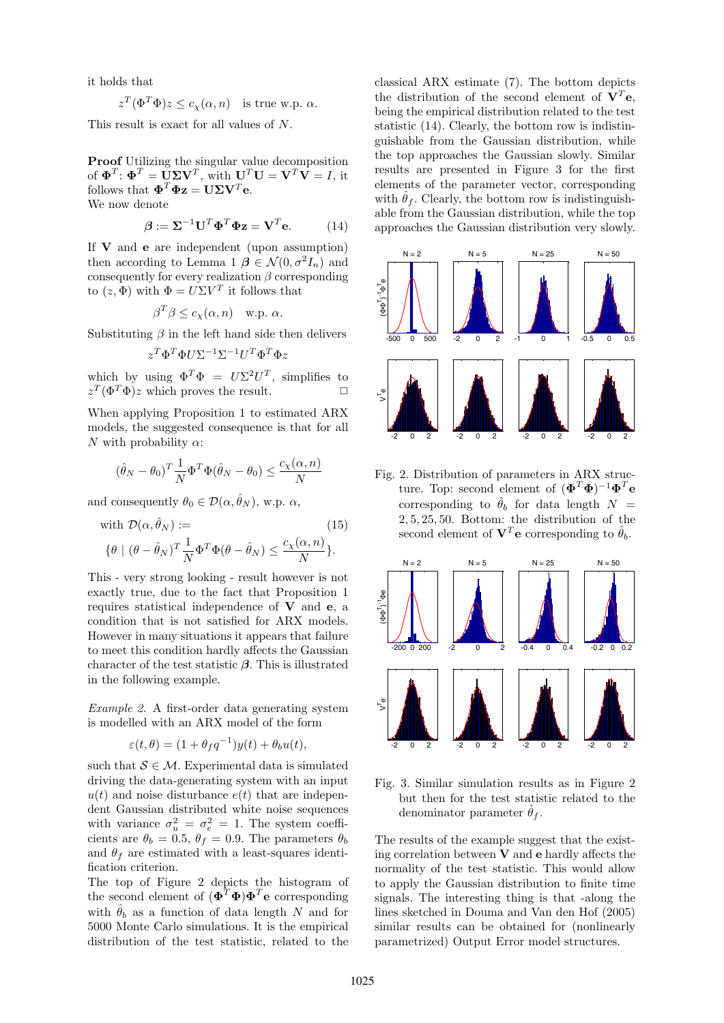it holds that

$$
z^T(\Phi^T\Phi)z \le c_\chi(\alpha, n) \quad \text{is true w.p. } \alpha.
$$

This result is exact for all values of N.

**Proof** Utilizing the singular value decomposition of  $\mathbf{\Phi}^T$ :  $\mathbf{\Phi}^T = \mathbf{U} \mathbf{\Sigma} \mathbf{V}^T$ , with  $\mathbf{U}^T \mathbf{U} = \mathbf{V}^T \mathbf{V} = I$ , it follows that  $\mathbf{\Phi}^T \mathbf{\Phi} \mathbf{z} = \mathbf{U} \mathbf{\Sigma} \mathbf{V}^T \mathbf{e}$ . We now denote

$$
\beta := \Sigma^{-1} \mathbf{U}^T \mathbf{\Phi}^T \mathbf{\Phi} \mathbf{z} = \mathbf{V}^T \mathbf{e}.
$$
 (14)

If **V** and **e** are independent (upon assumption) then according to Lemma 1  $\beta \in \mathcal{N}(0, \sigma^2 I_n)$  and consequently for every realization  $\beta$  corresponding to  $(z, \Phi)$  with  $\Phi = U \Sigma V^T$  it follows that

$$
\beta^T \beta \le c_\chi(\alpha, n) \quad \text{w.p. } \alpha.
$$

Substituting  $\beta$  in the left hand side then delivers

$$
z^T\Phi^T\Phi U\Sigma^{-1}\Sigma^{-1}U^T\Phi^T\Phi z
$$

which by using  $\Phi^T \Phi = U \Sigma^2 U^T$ , simplifies to  $z^T(\Phi^T\Phi)z$  which proves the result.  $\square$ 

When applying Proposition 1 to estimated ARX models, the suggested consequence is that for all N with probability  $\alpha$ :

$$
(\hat{\theta}_N - \theta_0)^T \frac{1}{N} \Phi^T \Phi(\hat{\theta}_N - \theta_0) \le \frac{c_\chi(\alpha, n)}{N}
$$

and consequently  $\theta_0 \in \mathcal{D}(\alpha, \hat{\theta}_N)$ , w.p.  $\alpha$ ,

with 
$$
\mathcal{D}(\alpha, \hat{\theta}_N) :=
$$
  
\n
$$
\{\theta \mid (\theta - \hat{\theta}_N)^T \frac{1}{N} \Phi^T \Phi(\theta - \hat{\theta}_N) \le \frac{c_\chi(\alpha, n)}{N} \}.
$$
\n(15)

This - very strong looking - result however is not exactly true, due to the fact that Proposition 1 requires statistical independence of **V** and **e**, a condition that is not satisfied for ARX models. However in many situations it appears that failure to meet this condition hardly affects the Gaussian character of the test statistic *β*. This is illustrated in the following example.

Example 2. A first-order data generating system is modelled with an ARX model of the form

$$
\varepsilon(t,\theta) = (1 + \theta_f q^{-1})y(t) + \theta_b u(t),
$$

such that  $S \in \mathcal{M}$ . Experimental data is simulated driving the data-generating system with an input  $u(t)$  and noise disturbance  $e(t)$  that are independent Gaussian distributed white noise sequences with variance  $\sigma_u^2 = \sigma_e^2 = 1$ . The system coefficients are  $\theta_b = 0.5$ ,  $\theta_f = 0.9$ . The parameters  $\theta_b$ and  $\theta_f$  are estimated with a least-squares identification criterion.

The top of Figure 2 depicts the histogram of the second element of  $(\mathbf{\Phi}^T \mathbf{\Phi}) \mathbf{\Phi}^T \mathbf{e}$  corresponding with  $\hat{\theta}_b$  as a function of data length N and for 5000 Monte Carlo simulations. It is the empirical distribution of the test statistic, related to the classical ARX estimate (7). The bottom depicts the distribution of the second element of  $V^T$ **e**, being the empirical distribution related to the test statistic (14). Clearly, the bottom row is indistinguishable from the Gaussian distribution, while the top approaches the Gaussian slowly. Similar results are presented in Figure 3 for the first elements of the parameter vector, corresponding with  $\hat{\theta}_f$ . Clearly, the bottom row is indistinguishable from the Gaussian distribution, while the top approaches the Gaussian distribution very slowly.



Fig. 2. Distribution of parameters in ARX structure. Top: second element of  $(\mathbf{\Phi}^T \mathbf{\Phi})^{-1} \mathbf{\Phi}^T \mathbf{e}$ corresponding to  $\hat{\theta}_b$  for data length  $N =$ 2, 5, 25, 50. Bottom: the distribution of the second element of  $V^T$ **e** corresponding to  $\hat{\theta}_b$ .



Fig. 3. Similar simulation results as in Figure 2 but then for the test statistic related to the denominator parameter  $\hat{\theta}_f$ .

The results of the example suggest that the existing correlation between **V** and **e** hardly affects the normality of the test statistic. This would allow to apply the Gaussian distribution to finite time signals. The interesting thing is that -along the lines sketched in Douma and Van den Hof (2005) similar results can be obtained for (nonlinearly parametrized) Output Error model structures.